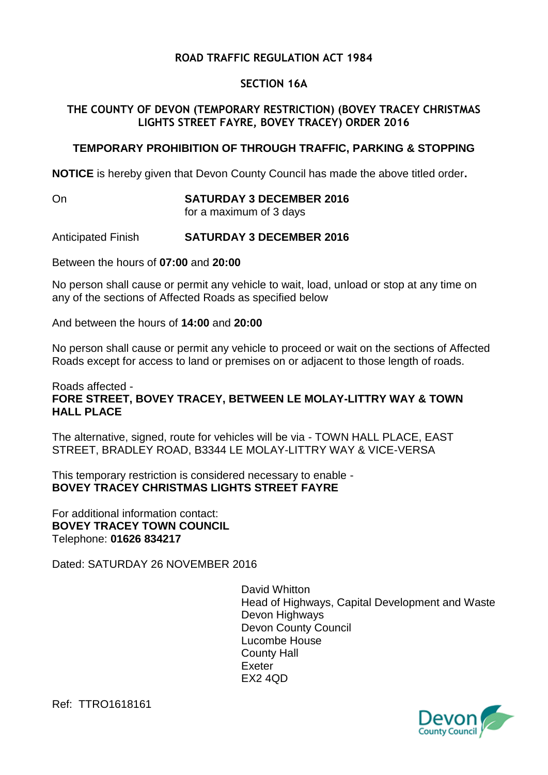# **ROAD TRAFFIC REGULATION ACT 1984**

## **SECTION 16A**

## **THE COUNTY OF DEVON (TEMPORARY RESTRICTION) (BOVEY TRACEY CHRISTMAS LIGHTS STREET FAYRE, BOVEY TRACEY) ORDER 2016**

## **TEMPORARY PROHIBITION OF THROUGH TRAFFIC, PARKING & STOPPING**

**NOTICE** is hereby given that Devon County Council has made the above titled order**.**

On **SATURDAY 3 DECEMBER 2016**

for a maximum of 3 days

#### Anticipated Finish **SATURDAY 3 DECEMBER 2016**

Between the hours of **07:00** and **20:00**

No person shall cause or permit any vehicle to wait, load, unload or stop at any time on any of the sections of Affected Roads as specified below

And between the hours of **14:00** and **20:00**

No person shall cause or permit any vehicle to proceed or wait on the sections of Affected Roads except for access to land or premises on or adjacent to those length of roads.

#### Roads affected - **FORE STREET, BOVEY TRACEY, BETWEEN LE MOLAY-LITTRY WAY & TOWN HALL PLACE**

The alternative, signed, route for vehicles will be via - TOWN HALL PLACE, EAST STREET, BRADLEY ROAD, B3344 LE MOLAY-LITTRY WAY & VICE-VERSA

This temporary restriction is considered necessary to enable - **BOVEY TRACEY CHRISTMAS LIGHTS STREET FAYRE**

For additional information contact: **BOVEY TRACEY TOWN COUNCIL** Telephone: **01626 834217**

Dated: SATURDAY 26 NOVEMBER 2016

David Whitton Head of Highways, Capital Development and Waste Devon Highways Devon County Council Lucombe House County Hall Exeter EX2 4QD